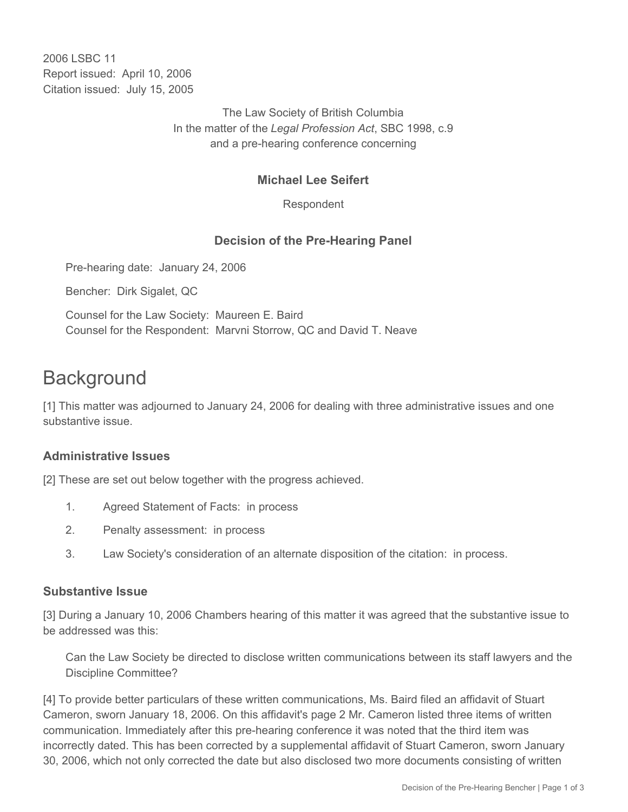2006 LSBC 11 Report issued: April 10, 2006 Citation issued: July 15, 2005

> The Law Society of British Columbia In the matter of the *Legal Profession Act*, SBC 1998, c.9 and a pre-hearing conference concerning

# **Michael Lee Seifert**

Respondent

### **Decision of the Pre-Hearing Panel**

Pre-hearing date: January 24, 2006

Bencher: Dirk Sigalet, QC

Counsel for the Law Society: Maureen E. Baird Counsel for the Respondent: Marvni Storrow, QC and David T. Neave

# **Background**

[1] This matter was adjourned to January 24, 2006 for dealing with three administrative issues and one substantive issue.

### **Administrative Issues**

[2] These are set out below together with the progress achieved.

- 1. Agreed Statement of Facts: in process
- 2. Penalty assessment: in process
- 3. Law Society's consideration of an alternate disposition of the citation: in process.

#### **Substantive Issue**

[3] During a January 10, 2006 Chambers hearing of this matter it was agreed that the substantive issue to be addressed was this:

Can the Law Society be directed to disclose written communications between its staff lawyers and the Discipline Committee?

[4] To provide better particulars of these written communications, Ms. Baird filed an affidavit of Stuart Cameron, sworn January 18, 2006. On this affidavit's page 2 Mr. Cameron listed three items of written communication. Immediately after this pre-hearing conference it was noted that the third item was incorrectly dated. This has been corrected by a supplemental affidavit of Stuart Cameron, sworn January 30, 2006, which not only corrected the date but also disclosed two more documents consisting of written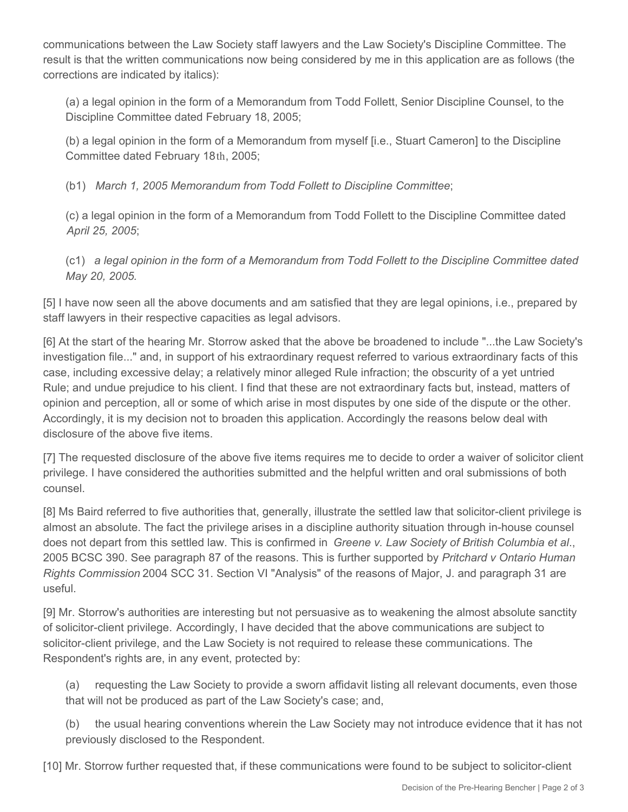communications between the Law Society staff lawyers and the Law Society's Discipline Committee. The result is that the written communications now being considered by me in this application are as follows (the corrections are indicated by italics):

(a) a legal opinion in the form of a Memorandum from Todd Follett, Senior Discipline Counsel, to the Discipline Committee dated February 18, 2005;

(b) a legal opinion in the form of a Memorandum from myself [i.e., Stuart Cameron] to the Discipline Committee dated February 18th, 2005;

(b1) *March 1, 2005 Memorandum from Todd Follett to Discipline Committee*;

(c) a legal opinion in the form of a Memorandum from Todd Follett to the Discipline Committee dated *April 25, 2005*;

(c1) *a legal opinion in the form of a Memorandum from Todd Follett to the Discipline Committee dated May 20, 2005.*

[5] I have now seen all the above documents and am satisfied that they are legal opinions, i.e., prepared by staff lawyers in their respective capacities as legal advisors.

[6] At the start of the hearing Mr. Storrow asked that the above be broadened to include "...the Law Society's investigation file..." and, in support of his extraordinary request referred to various extraordinary facts of this case, including excessive delay; a relatively minor alleged Rule infraction; the obscurity of a yet untried Rule; and undue prejudice to his client. I find that these are not extraordinary facts but, instead, matters of opinion and perception, all or some of which arise in most disputes by one side of the dispute or the other. Accordingly, it is my decision not to broaden this application. Accordingly the reasons below deal with disclosure of the above five items.

[7] The requested disclosure of the above five items requires me to decide to order a waiver of solicitor client privilege. I have considered the authorities submitted and the helpful written and oral submissions of both counsel.

[8] Ms Baird referred to five authorities that, generally, illustrate the settled law that solicitor-client privilege is almost an absolute. The fact the privilege arises in a discipline authority situation through in-house counsel does not depart from this settled law. This is confirmed in *Greene v. Law Society of British Columbia et al*., 2005 BCSC 390. See paragraph 87 of the reasons. This is further supported by *Pritchard v Ontario Human Rights Commission* 2004 SCC 31. Section VI "Analysis" of the reasons of Major, J. and paragraph 31 are useful.

[9] Mr. Storrow's authorities are interesting but not persuasive as to weakening the almost absolute sanctity of solicitor-client privilege. Accordingly, I have decided that the above communications are subject to solicitor-client privilege, and the Law Society is not required to release these communications. The Respondent's rights are, in any event, protected by:

(a) requesting the Law Society to provide a sworn affidavit listing all relevant documents, even those that will not be produced as part of the Law Society's case; and,

(b) the usual hearing conventions wherein the Law Society may not introduce evidence that it has not previously disclosed to the Respondent.

[10] Mr. Storrow further requested that, if these communications were found to be subject to solicitor-client